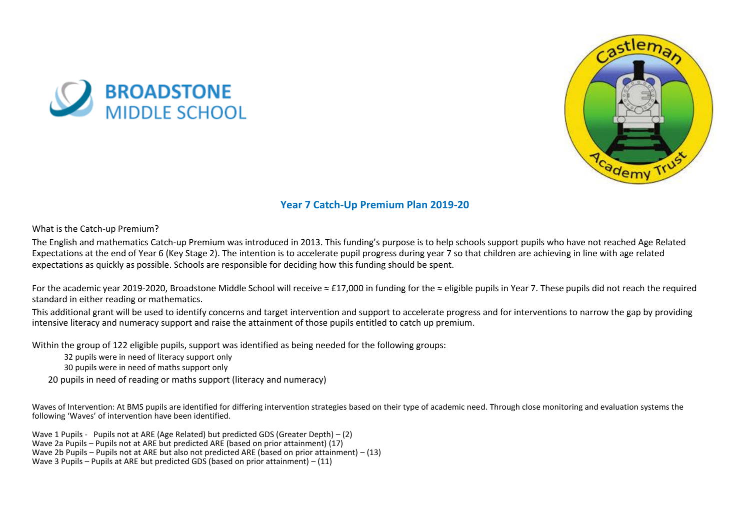



## **Year 7 Catch-Up Premium Plan 2019-20**

What is the Catch-up Premium?

The English and mathematics Catch-up Premium was introduced in 2013. This funding's purpose is to help schools support pupils who have not reached Age Related Expectations at the end of Year 6 (Key Stage 2). The intention is to accelerate pupil progress during year 7 so that children are achieving in line with age related expectations as quickly as possible. Schools are responsible for deciding how this funding should be spent.

For the academic year 2019-2020, Broadstone Middle School will receive ≈ £17,000 in funding for the ≈ eligible pupils in Year 7. These pupils did not reach the required standard in either reading or mathematics.

This additional grant will be used to identify concerns and target intervention and support to accelerate progress and for interventions to narrow the gap by providing intensive literacy and numeracy support and raise the attainment of those pupils entitled to catch up premium.

Within the group of 122 eligible pupils, support was identified as being needed for the following groups:

32 pupils were in need of literacy support only

30 pupils were in need of maths support only

20 pupils in need of reading or maths support (literacy and numeracy)

Waves of Intervention: At BMS pupils are identified for differing intervention strategies based on their type of academic need. Through close monitoring and evaluation systems the following 'Waves' of intervention have been identified.

Wave 1 Pupils - Pupils not at ARE (Age Related) but predicted GDS (Greater Depth) – (2) Wave 2a Pupils – Pupils not at ARE but predicted ARE (based on prior attainment) (17) Wave 2b Pupils – Pupils not at ARE but also not predicted ARE (based on prior attainment) – (13) Wave 3 Pupils – Pupils at ARE but predicted GDS (based on prior attainment) – (11)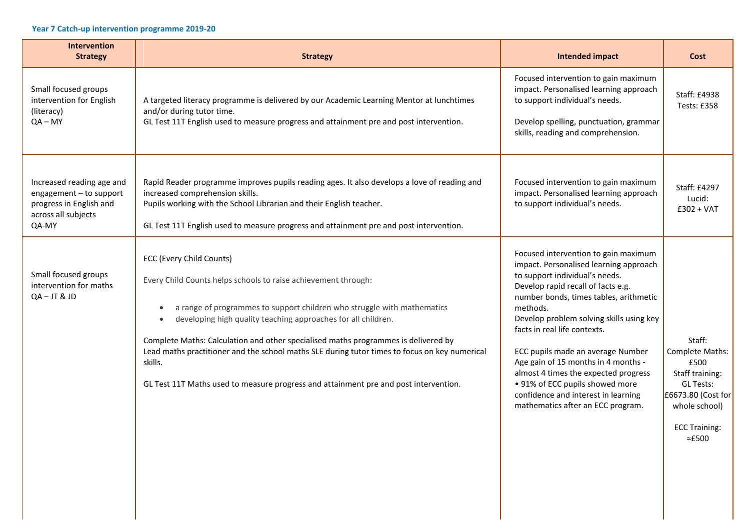## **Year 7 Catch-up intervention programme 2019-20**

| Intervention<br><b>Strategy</b>                                                                                 | <b>Strategy</b>                                                                                                                                                                                                                                                                                                                                                                                                                                                                                                                                    | <b>Intended impact</b>                                                                                                                                                                                                                                                                                                                                                                                                                                                                                                      | Cost                                                                                                                                                      |
|-----------------------------------------------------------------------------------------------------------------|----------------------------------------------------------------------------------------------------------------------------------------------------------------------------------------------------------------------------------------------------------------------------------------------------------------------------------------------------------------------------------------------------------------------------------------------------------------------------------------------------------------------------------------------------|-----------------------------------------------------------------------------------------------------------------------------------------------------------------------------------------------------------------------------------------------------------------------------------------------------------------------------------------------------------------------------------------------------------------------------------------------------------------------------------------------------------------------------|-----------------------------------------------------------------------------------------------------------------------------------------------------------|
| Small focused groups<br>intervention for English<br>(literacy)<br>$QA - MY$                                     | A targeted literacy programme is delivered by our Academic Learning Mentor at lunchtimes<br>and/or during tutor time.<br>GL Test 11T English used to measure progress and attainment pre and post intervention.                                                                                                                                                                                                                                                                                                                                    | Focused intervention to gain maximum<br>impact. Personalised learning approach<br>to support individual's needs.<br>Develop spelling, punctuation, grammar<br>skills, reading and comprehension.                                                                                                                                                                                                                                                                                                                            | Staff: £4938<br>Tests: £358                                                                                                                               |
| Increased reading age and<br>engagement - to support<br>progress in English and<br>across all subjects<br>QA-MY | Rapid Reader programme improves pupils reading ages. It also develops a love of reading and<br>increased comprehension skills.<br>Pupils working with the School Librarian and their English teacher.<br>GL Test 11T English used to measure progress and attainment pre and post intervention.                                                                                                                                                                                                                                                    | Focused intervention to gain maximum<br>impact. Personalised learning approach<br>to support individual's needs.                                                                                                                                                                                                                                                                                                                                                                                                            | Staff: £4297<br>Lucid:<br>$£302 + VAT$                                                                                                                    |
| Small focused groups<br>intervention for maths<br>$QA - JT & JD$                                                | ECC (Every Child Counts)<br>Every Child Counts helps schools to raise achievement through:<br>a range of programmes to support children who struggle with mathematics<br>٠<br>developing high quality teaching approaches for all children.<br>$\bullet$<br>Complete Maths: Calculation and other specialised maths programmes is delivered by<br>Lead maths practitioner and the school maths SLE during tutor times to focus on key numerical<br>skills.<br>GL Test 11T Maths used to measure progress and attainment pre and post intervention. | Focused intervention to gain maximum<br>impact. Personalised learning approach<br>to support individual's needs.<br>Develop rapid recall of facts e.g.<br>number bonds, times tables, arithmetic<br>methods.<br>Develop problem solving skills using key<br>facts in real life contexts.<br>ECC pupils made an average Number<br>Age gain of 15 months in 4 months -<br>almost 4 times the expected progress<br>• 91% of ECC pupils showed more<br>confidence and interest in learning<br>mathematics after an ECC program. | Staff:<br>Complete Maths:<br>£500<br>Staff training:<br><b>GL Tests:</b><br>£6673.80 (Cost for<br>whole school)<br><b>ECC Training:</b><br>$\approx$ £500 |